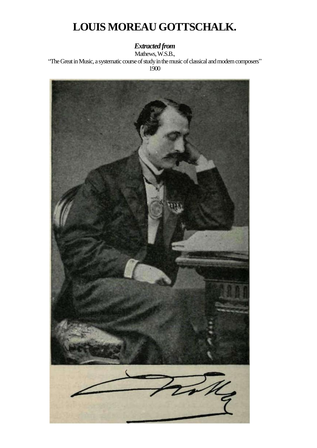# **LOUIS MOREAU GOTTSCHALK.**

## *Extracted from*

Mathews, W.S.B., "The Great in Music, a systematic course of study in the music of classical and modern composers" 1900

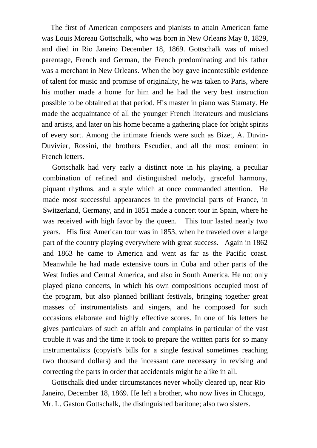The first of American composers and pianists to attain American fame was Louis Moreau Gottschalk, who was born in New Orleans May 8, 1829, and died in Rio Janeiro December 18, 1869. Gottschalk was of mixed parentage, French and German, the French predominating and his father was a merchant in New Orleans. When the boy gave incontestible evidence of talent for music and promise of originality, he was taken to Paris, where his mother made a home for him and he had the very best instruction possible to be obtained at that period. His master in piano was Stamaty. He made the acquaintance of all the younger French literateurs and musicians and artists, and later on his home became a gathering place for bright spirits of every sort. Among the intimate friends were such as Bizet, A. Duvin-Duvivier, Rossini, the brothers Escudier, and all the most eminent in French letters.

Gottschalk had very early a distinct note in his playing, a peculiar combination of refined and distinguished melody, graceful harmony, piquant rhythms, and a style which at once commanded attention. He made most successful appearances in the provincial parts of France, in Switzerland, Germany, and in 1851 made a concert tour in Spain, where he was received with high favor by the queen. This tour lasted nearly two years. His first American tour was in 1853, when he traveled over a large part of the country playing everywhere with great success. Again in 1862 and 1863 he came to America and went as far as the Pacific coast. Meanwhile he had made extensive tours in Cuba and other parts of the West Indies and Central America, and also in South America. He not only played piano concerts, in which his own compositions occupied most of the program, but also planned brilliant festivals, bringing together great masses of instrumentalists and singers, and he composed for such occasions elaborate and highly effective scores. In one of his letters he gives particulars of such an affair and complains in particular of the vast trouble it was and the time it took to prepare the written parts for so many instrumentalists (copyist's bills for a single festival sometimes reaching two thousand dollars) and the incessant care necessary in revising and correcting the parts in order that accidentals might be alike in all.

Gottschalk died under circumstances never wholly cleared up, near Rio Janeiro, December 18, 1869. He left a brother, who now lives in Chicago, Mr. L. Gaston Gottschalk, the distinguished baritone; also two sisters.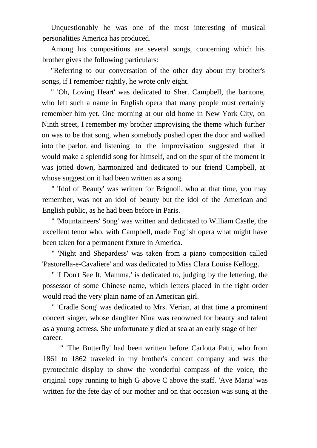Unquestionably he was one of the most interesting of musical personalities America has produced.

Among his compositions are several songs, concerning which his brother gives the following particulars:

"Referring to our conversation of the other day about my brother's songs, if I remember rightly, he wrote only eight.

" 'Oh, Loving Heart' was dedicated to Sher. Campbell, the baritone, who left such a name in English opera that many people must certainly remember him yet. One morning at our old home in New York City, on Ninth street, I remember my brother improvising the theme which further on was to be that song, when somebody pushed open the door and walked into the parlor, and listening to the improvisation suggested that it would make a splendid song for himself, and on the spur of the moment it was jotted down, harmonized and dedicated to our friend Campbell, at whose suggestion it had been written as a song.

" 'Idol of Beauty' was written for Brignoli, who at that time, you may remember, was not an idol of beauty but the idol of the American and English public, as he had been before in Paris.

" 'Mountaineers' Song' was written and dedicated to William Castle, the excellent tenor who, with Campbell, made English opera what might have been taken for a permanent fixture in America.

" 'Night and Shepardess' was taken from a piano composition called 'Pastorella-e-Cavaliere' and was dedicated to Miss Clara Louise Kellogg.

" 'I Don't See It, Mamma,' is dedicated to, judging by the lettering, the possessor of some Chinese name, which letters placed in the right order would read the very plain name of an American girl.

" 'Cradle Song' was dedicated to Mrs. Verian, at that time a prominent concert singer, whose daughter Nina was renowned for beauty and talent as a young actress. She unfortunately died at sea at an early stage of her career.

" 'The Butterfly' had been written before Carlotta Patti, who from 1861 to 1862 traveled in my brother's concert company and was the pyrotechnic display to show the wonderful compass of the voice, the original copy running to high G above C above the staff. 'Ave Maria' was written for the fete day of our mother and on that occasion was sung at the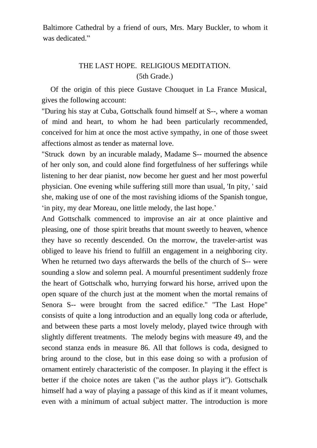Baltimore Cathedral by a friend of ours, Mrs. Mary Buckler, to whom it was dedicated."

### THE LAST HOPE. RELIGIOUS MEDITATION. (5th Grade.)

Of the origin of this piece Gustave Chouquet in La France Musical, gives the following account:

"During his stay at Cuba, Gottschalk found himself at S--, where a woman of mind and heart, to whom he had been particularly recommended, conceived for him at once the most active sympathy, in one of those sweet affections almost as tender as maternal love.

"Struck down by an incurable malady, Madame S-- mourned the absence of her only son, and could alone find forgetfulness of her sufferings while listening to her dear pianist, now become her guest and her most powerful physician. One evening while suffering still more than usual, 'In pity, ' said she, making use of one of the most ravishing idioms of the Spanish tongue, in pity, my dear Moreau, one little melody, the last hope.'

And Gottschalk commenced to improvise an air at once plaintive and pleasing, one of those spirit breaths that mount sweetly to heaven, whence they have so recently descended. On the morrow, the traveler-artist was obliged to leave his friend to fulfill an engagement in a neighboring city. When he returned two days afterwards the bells of the church of S-- were sounding a slow and solemn peal. A mournful presentiment suddenly froze the heart of Gottschalk who, hurrying forward his horse, arrived upon the open square of the church just at the moment when the mortal remains of Senora S-- were brought from the sacred edifice." "The Last Hope" consists of quite a long introduction and an equally long coda or afterlude, and between these parts a most lovely melody, played twice through with slightly different treatments. The melody begins with measure 49, and the second stanza ends in measure 86. All that follows is coda, designed to bring around to the close, but in this ease doing so with a profusion of ornament entirely characteristic of the composer. In playing it the effect is better if the choice notes are taken ("as the author plays it"). Gottschalk himself had a way of playing a passage of this kind as if it meant volumes, even with a minimum of actual subject matter. The introduction is more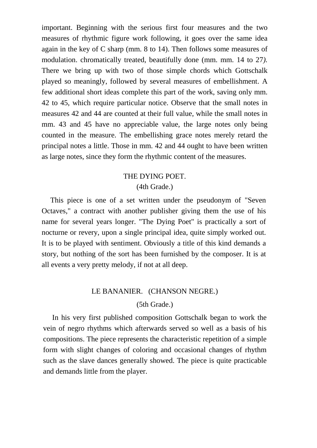important. Beginning with the serious first four measures and the two measures of rhythmic figure work following, it goes over the same idea again in the key of C sharp (mm. 8 to 14). Then follows some measures of modulation. chromatically treated, beautifully done (mm. mm. 14 to 27*).*  There we bring up with two of those simple chords which Gottschalk played so meaningly, followed by several measures of embellishment. A few additional short ideas complete this part of the work, saving only mm. 42 to 45, which require particular notice. Observe that the small notes in measures 42 and 44 are counted at their full value, while the small notes in mm. 43 and 45 have no appreciable value, the large notes only being counted in the measure. The embellishing grace notes merely retard the principal notes a little. Those in mm. 42 and 44 ought to have been written as large notes, since they form the rhythmic content of the measures.

# THE DYING POET.

#### (4th Grade.)

This piece is one of a set written under the pseudonym of "Seven Octaves," a contract with another publisher giving them the use of his name for several years longer. "The Dying Poet" is practically a sort of nocturne or revery, upon a single principal idea, quite simply worked out. It is to be played with sentiment. Obviously a title of this kind demands a story, but nothing of the sort has been furnished by the composer. It is at all events a very pretty melody, if not at all deep.

#### LE BANANIER. (CHANSON NEGRE.)

#### (5th Grade.)

In his very first published composition Gottschalk began to work the vein of negro rhythms which afterwards served so well as a basis of his compositions. The piece represents the characteristic repetition of a simple form with slight changes of coloring and occasional changes of rhythm such as the slave dances generally showed. The piece is quite practicable and demands little from the player.